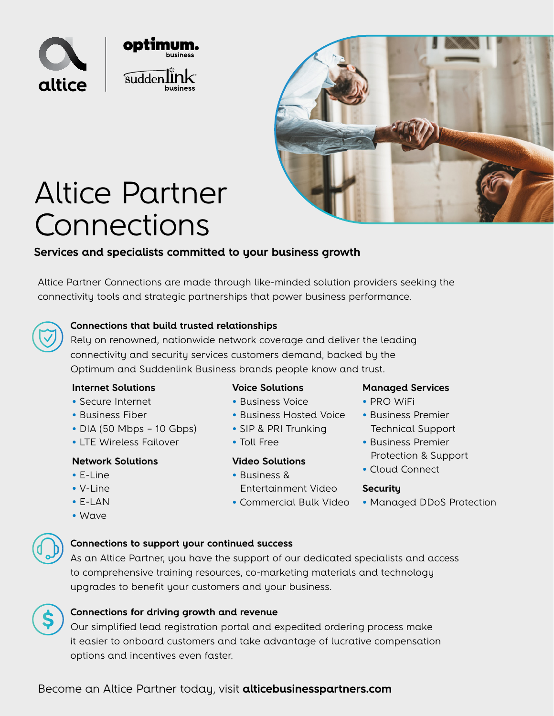



# Altice Partner Connections

### **Services and specialists committed to your business growth**

Altice Partner Connections are made through like-minded solution providers seeking the connectivity tools and strategic partnerships that power business performance.

#### **Connections that build trusted relationships**

Rely on renowned, nationwide network coverage and deliver the leading connectivity and security services customers demand, backed by the Optimum and Suddenlink Business brands people know and trust.

#### **Internet Solutions**

- Secure Internet
- Business Fiber
- DIA (50 Mbps 10 Gbps)
- LTE Wireless Failover

#### **Network Solutions**

- E-Line
- V-Line
- E-LAN
- Wave

#### **Connections to support your continued success**

As an Altice Partner, you have the support of our dedicated specialists and access to comprehensive training resources, co-marketing materials and technology upgrades to benefit your customers and your business.

#### **Connections for driving growth and revenue**

Our simplified lead registration portal and expedited ordering process make it easier to onboard customers and take advantage of lucrative compensation options and incentives even faster.

### **Voice Solutions**

- Business Voice
- Business Hosted Voice
- SIP & PRI Trunking
- Toll Free

#### **Video Solutions**

- Business & Entertainment Video
- Commercial Bulk Video
- **Managed Services**
- PRO WiFi
- Business Premier Technical Support
- Business Premier Protection & Support
- Cloud Connect

#### **Security**

• Managed DDoS Protection